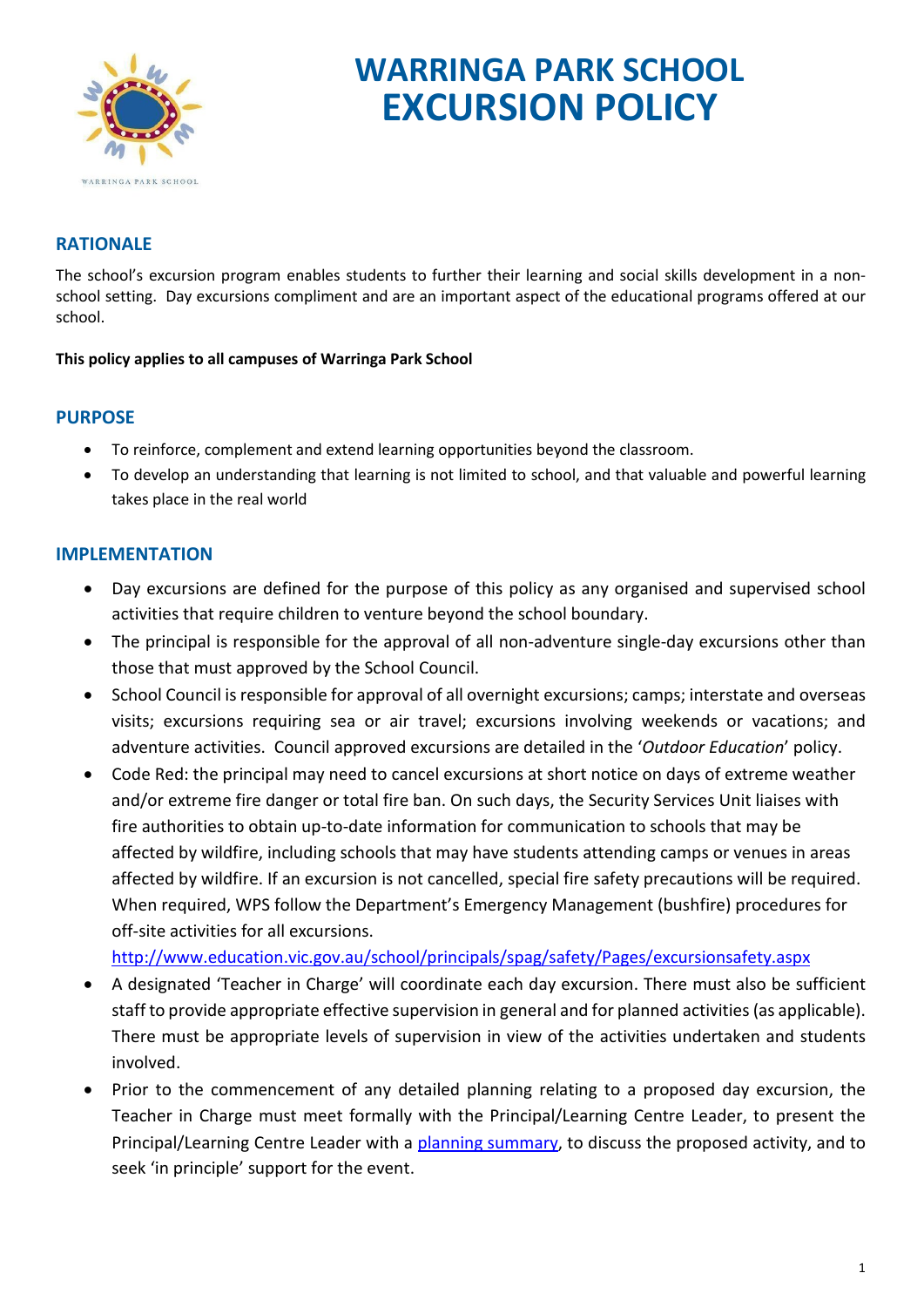

# **WARRINGA PARK SCHOOL EXCURSION POLICY**

## **RATIONALE**

The school's excursion program enables students to further their learning and social skills development in a nonschool setting. Day excursions compliment and are an important aspect of the educational programs offered at our school.

#### **This policy applies to all campuses of Warringa Park School**

### **PURPOSE**

- To reinforce, complement and extend learning opportunities beyond the classroom.
- To develop an understanding that learning is not limited to school, and that valuable and powerful learning takes place in the real world

### **IMPLEMENTATION**

- Day excursions are defined for the purpose of this policy as any organised and supervised school activities that require children to venture beyond the school boundary.
- The principal is responsible for the approval of all non-adventure single-day excursions other than those that must approved by the School Council.
- School Council is responsible for approval of all overnight excursions; camps; interstate and overseas visits; excursions requiring sea or air travel; excursions involving weekends or vacations; and adventure activities. Council approved excursions are detailed in the '*Outdoor Education*' policy.
- Code Red: the principal may need to cancel excursions at short notice on days of extreme weather and/or extreme fire danger or total fire ban. On such days, the Security Services Unit liaises with fire authorities to obtain up-to-date information for communication to schools that may be affected by wildfire, including schools that may have students attending camps or venues in areas affected by wildfire. If an excursion is not cancelled, special fire safety precautions will be required. When required, WPS follow the Department's Emergency Management (bushfire) procedures for off-site activities for all excursions.

<http://www.education.vic.gov.au/school/principals/spag/safety/Pages/excursionsafety.aspx>

- A designated 'Teacher in Charge' will coordinate each day excursion. There must also be sufficient staff to provide appropriate effective supervision in general and for planned activities (as applicable). There must be appropriate levels of supervision in view of the activities undertaken and students involved.
- Prior to the commencement of any detailed planning relating to a proposed day excursion, the Teacher in Charge must meet formally with the Principal/Learning Centre Leader, to present the Principal/Learning Centre Leader with a [planning summary,](http://www.eduweb.vic.gov.au/edulibrary/public/schadmin/schops/edoutdoors/planningsummary.doc) to discuss the proposed activity, and to seek 'in principle' support for the event.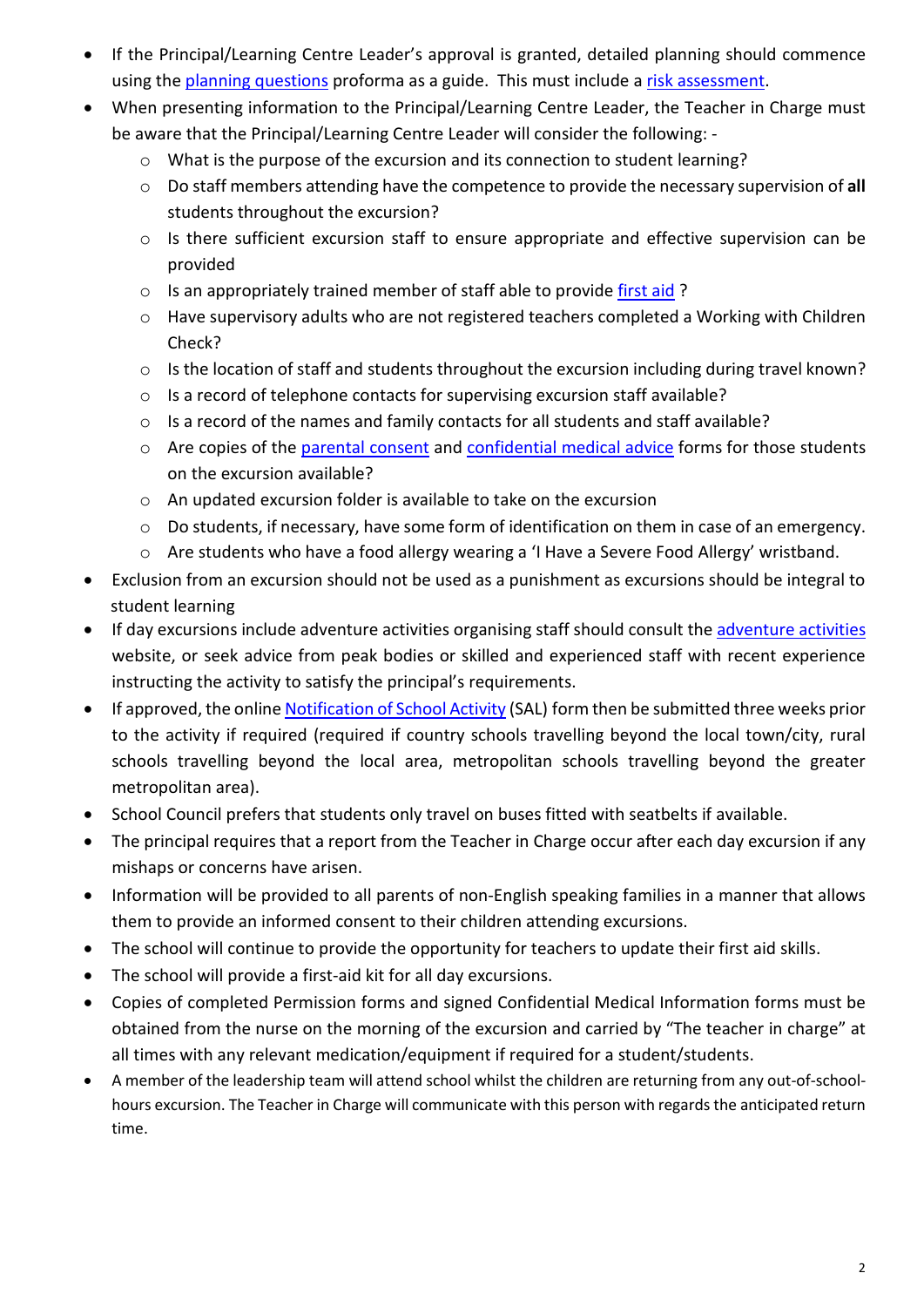- If the Principal/Learning Centre Leader's approval is granted, detailed planning should commence using the [planning questions](http://www.eduweb.vic.gov.au/edulibrary/public/schadmin/schops/edoutdoors/planningquestions.doc) proforma as a guide. This must include [a risk assessment.](http://www.education.vic.gov.au/management/schooloperations/edoutdoors/risk.htm)
- When presenting information to the Principal/Learning Centre Leader, the Teacher in Charge must be aware that the Principal/Learning Centre Leader will consider the following:
	- o What is the purpose of the excursion and its connection to student learning?
	- o Do staff members attending have the competence to provide the necessary supervision of **all** students throughout the excursion?
	- o Is there sufficient excursion staff to ensure appropriate and effective supervision can be provided
	- o Is an appropriately trained member of staff able to provide [first aid](http://www.education.vic.gov.au/management/schooloperations/edoutdoors/resources/firstaid.htm) ?
	- o Have supervisory adults who are not registered teachers completed a Working with Children Check?
	- o Is the location of staff and students throughout the excursion including during travel known?
	- o Is a record of telephone contacts for supervising excursion staff available?
	- o Is a record of the names and family contacts for all students and staff available?
	- o Are copies of the [parental consent](http://www.eduweb.vic.gov.au/edulibrary/public/schadmin/schops/edoutdoors/parentconsent.doc) and confidential [medical advice](http://www.eduweb.vic.gov.au/edulibrary/public/schadmin/schops/edoutdoors/medicalinformation.doc) forms for those students on the excursion available?
	- o An updated excursion folder is available to take on the excursion
	- o Do students, if necessary, have some form of identification on them in case of an emergency.
	- o Are students who have a food allergy wearing a 'I Have a Severe Food Allergy' wristband.
- Exclusion from an excursion should not be used as a punishment as excursions should be integral to student learning
- If day excursions include adventure activities organising staff should consult the [adventure activities](http://www.education.vic.gov.au/management/schooloperations/edoutdoors/activities/default.htm) website, or seek advice from peak bodies or skilled and experienced staff with recent experience instructing the activity to satisfy the principal's requirements.
- If approved, the onlin[e Notification of School Activity](http://www.eduweb.vic.gov.au/forms/school/sal/enteractivity.asp) (SAL) form then be submitted three weeks prior to the activity if required (required if country schools travelling beyond the local town/city, rural schools travelling beyond the local area, metropolitan schools travelling beyond the greater metropolitan area).
- School Council prefers that students only travel on buses fitted with seatbelts if available.
- The principal requires that a report from the Teacher in Charge occur after each day excursion if any mishaps or concerns have arisen.
- Information will be provided to all parents of non-English speaking families in a manner that allows them to provide an informed consent to their children attending excursions.
- The school will continue to provide the opportunity for teachers to update their first aid skills.
- The school will provide a first-aid kit for all day excursions.
- Copies of completed Permission forms and signed Confidential Medical Information forms must be obtained from the nurse on the morning of the excursion and carried by "The teacher in charge" at all times with any relevant medication/equipment if required for a student/students.
- A member of the leadership team will attend school whilst the children are returning from any out-of-schoolhours excursion. The Teacher in Charge will communicate with this person with regards the anticipated return time.